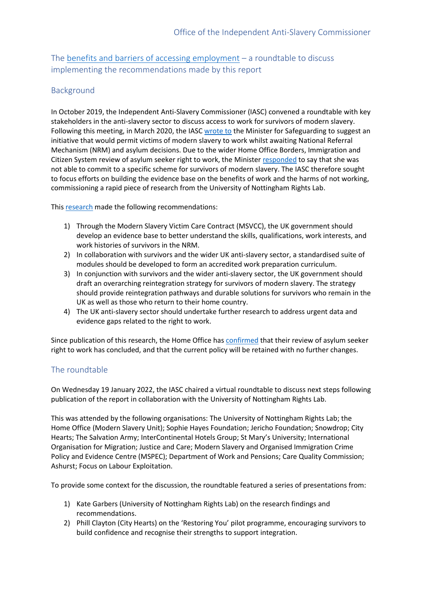The [benefits and barriers of accessing employment](https://www.antislaverycommissioner.co.uk/media/1599/rights_lab_access-to-work-pathways_final.pdf) – a roundtable to discuss implementing the recommendations made by this report

# Background

In October 2019, the Independent Anti-Slavery Commissioner (IASC) convened a roundtable with key stakeholders in the anti-slavery sector to discuss access to work for survivors of modern slavery. Following this meeting, in March 2020, the IASC [wrote to](https://www.antislaverycommissioner.co.uk/media/1402/iasc-letter-to-victoria-atkins-mp-march-2020.pdf) the Minister for Safeguarding to suggest an initiative that would permit victims of modern slavery to work whilst awaiting National Referral Mechanism (NRM) and asylum decisions. Due to the wider Home Office Borders, Immigration and Citizen System review of asylum seeker right to work, the Ministe[r responded](http://www.antislaverycommissioner.co.uk/media/1403/letter-to-the-iasc-from-victoria-atkins-mp-april-2020.pdf) to say that she was not able to commit to a specific scheme for survivors of modern slavery. The IASC therefore sought to focus efforts on building the evidence base on the benefits of work and the harms of not working, commissioning a rapid piece of research from the University of Nottingham Rights Lab.

Thi[s research](https://www.antislaverycommissioner.co.uk/media/1599/rights_lab_access-to-work-pathways_final.pdf) made the following recommendations:

- 1) Through the Modern Slavery Victim Care Contract (MSVCC), the UK government should develop an evidence base to better understand the skills, qualifications, work interests, and work histories of survivors in the NRM.
- 2) In collaboration with survivors and the wider UK anti-slavery sector, a standardised suite of modules should be developed to form an accredited work preparation curriculum.
- 3) In conjunction with survivors and the wider anti-slavery sector, the UK government should draft an overarching reintegration strategy for survivors of modern slavery. The strategy should provide reintegration pathways and durable solutions for survivors who remain in the UK as well as those who return to their home country.
- 4) The UK anti-slavery sector should undertake further research to address urgent data and evidence gaps related to the right to work.

Since publication of this research, the Home Office ha[s confirmed](https://hansard.parliament.uk/Commons/2021-12-08/debates/21120876000007/AsylumSeekersRightToWorkPolicy?__cf_chl_managed_tk__=Z5qk3rfii2xjVW2auauAeYXgIIFThP.C6hMFyjtnnjE-1641983444-0-gaNycGzNCxE) that their review of asylum seeker right to work has concluded, and that the current policy will be retained with no further changes.

## The roundtable

On Wednesday 19 January 2022, the IASC chaired a virtual roundtable to discuss next steps following publication of the report in collaboration with the University of Nottingham Rights Lab.

This was attended by the following organisations: The University of Nottingham Rights Lab; the Home Office (Modern Slavery Unit); Sophie Hayes Foundation; Jericho Foundation; Snowdrop; City Hearts; The Salvation Army; InterContinental Hotels Group; St Mary's University; International Organisation for Migration; Justice and Care; Modern Slavery and Organised Immigration Crime Policy and Evidence Centre (MSPEC); Department of Work and Pensions; Care Quality Commission; Ashurst; Focus on Labour Exploitation.

To provide some context for the discussion, the roundtable featured a series of presentations from:

- 1) Kate Garbers (University of Nottingham Rights Lab) on the research findings and recommendations.
- 2) Phill Clayton (City Hearts) on the 'Restoring You' pilot programme, encouraging survivors to build confidence and recognise their strengths to support integration.